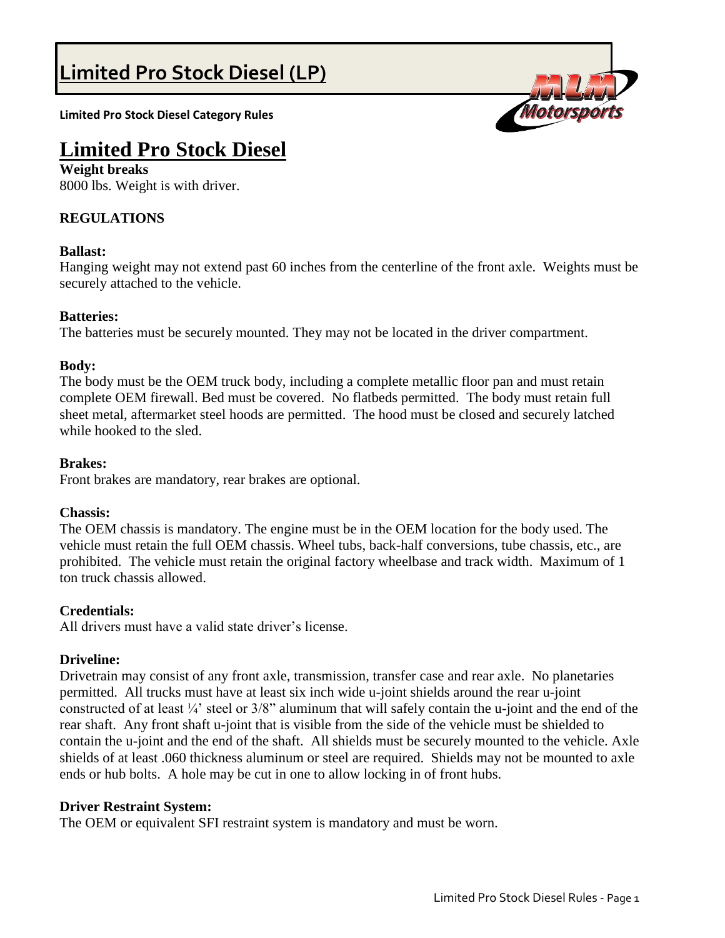# **Limited Pro Stock Diesel (LP)**

**Limited Pro Stock Diesel Category Rules**



# **Limited Pro Stock Diesel**

**Weight breaks** 8000 lbs. Weight is with driver.

# **REGULATIONS**

# **Ballast:**

Hanging weight may not extend past 60 inches from the centerline of the front axle. Weights must be securely attached to the vehicle.

# **Batteries:**

The batteries must be securely mounted. They may not be located in the driver compartment.

# **Body:**

The body must be the OEM truck body, including a complete metallic floor pan and must retain complete OEM firewall. Bed must be covered. No flatbeds permitted. The body must retain full sheet metal, aftermarket steel hoods are permitted. The hood must be closed and securely latched while hooked to the sled.

# **Brakes:**

Front brakes are mandatory, rear brakes are optional.

#### **Chassis:**

The OEM chassis is mandatory. The engine must be in the OEM location for the body used. The vehicle must retain the full OEM chassis. Wheel tubs, back-half conversions, tube chassis, etc., are prohibited. The vehicle must retain the original factory wheelbase and track width. Maximum of 1 ton truck chassis allowed.

#### **Credentials:**

All drivers must have a valid state driver's license.

# **Driveline:**

Drivetrain may consist of any front axle, transmission, transfer case and rear axle. No planetaries permitted. All trucks must have at least six inch wide u-joint shields around the rear u-joint constructed of at least ¼' steel or 3/8" aluminum that will safely contain the u-joint and the end of the rear shaft. Any front shaft u-joint that is visible from the side of the vehicle must be shielded to contain the u-joint and the end of the shaft. All shields must be securely mounted to the vehicle. Axle shields of at least .060 thickness aluminum or steel are required. Shields may not be mounted to axle ends or hub bolts. A hole may be cut in one to allow locking in of front hubs.

#### **Driver Restraint System:**

The OEM or equivalent SFI restraint system is mandatory and must be worn.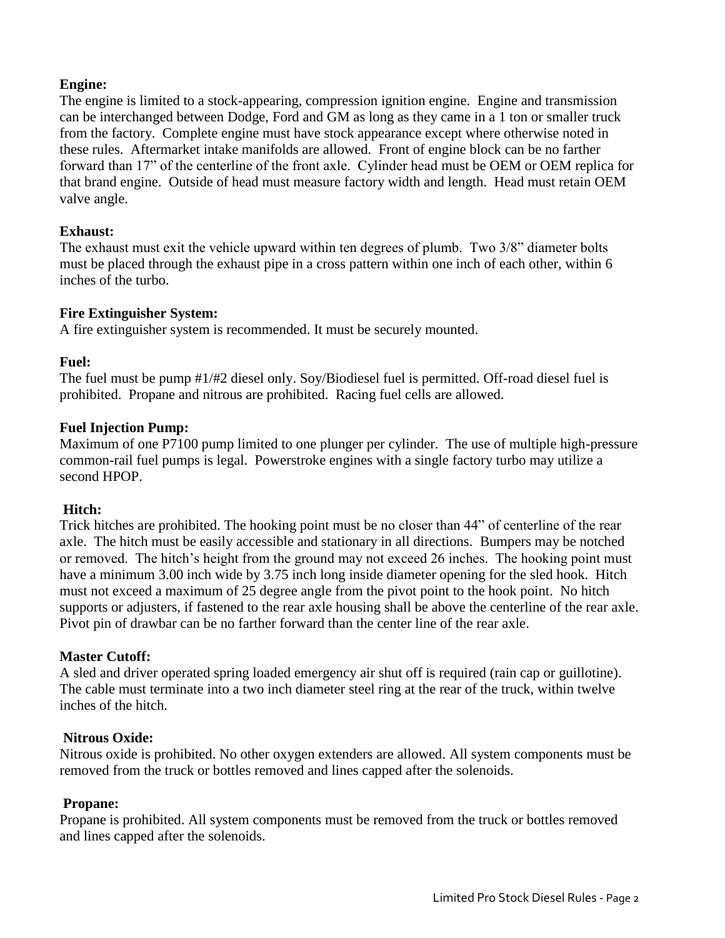# **Engine:**

The engine is limited to a stock-appearing, compression ignition engine. Engine and transmission can be interchanged between Dodge, Ford and GM as long as they came in a 1 ton or smaller truck from the factory. Complete engine must have stock appearance except where otherwise noted in these rules. Aftermarket intake manifolds are allowed. Front of engine block can be no farther forward than 17" of the centerline of the front axle. Cylinder head must be OEM or OEM replica for that brand engine. Outside of head must measure factory width and length. Head must retain OEM valve angle.

# **Exhaust:**

The exhaust must exit the vehicle upward within ten degrees of plumb. Two 3/8" diameter bolts must be placed through the exhaust pipe in a cross pattern within one inch of each other, within 6 inches of the turbo.

#### **Fire Extinguisher System:**

A fire extinguisher system is recommended. It must be securely mounted.

# **Fuel:**

The fuel must be pump #1/#2 diesel only. Soy/Biodiesel fuel is permitted. Off-road diesel fuel is prohibited. Propane and nitrous are prohibited. Racing fuel cells are allowed.

# **Fuel Injection Pump:**

Maximum of one P7100 pump limited to one plunger per cylinder. The use of multiple high-pressure common-rail fuel pumps is legal. Powerstroke engines with a single factory turbo may utilize a second HPOP.

#### **Hitch:**

Trick hitches are prohibited. The hooking point must be no closer than 44" of centerline of the rear axle. The hitch must be easily accessible and stationary in all directions. Bumpers may be notched or removed. The hitch's height from the ground may not exceed 26 inches. The hooking point must have a minimum 3.00 inch wide by 3.75 inch long inside diameter opening for the sled hook. Hitch must not exceed a maximum of 25 degree angle from the pivot point to the hook point. No hitch supports or adjusters, if fastened to the rear axle housing shall be above the centerline of the rear axle. Pivot pin of drawbar can be no farther forward than the center line of the rear axle.

#### **Master Cutoff:**

A sled and driver operated spring loaded emergency air shut off is required (rain cap or guillotine). The cable must terminate into a two inch diameter steel ring at the rear of the truck, within twelve inches of the hitch.

#### **Nitrous Oxide:**

Nitrous oxide is prohibited. No other oxygen extenders are allowed. All system components must be removed from the truck or bottles removed and lines capped after the solenoids.

#### **Propane:**

Propane is prohibited. All system components must be removed from the truck or bottles removed and lines capped after the solenoids.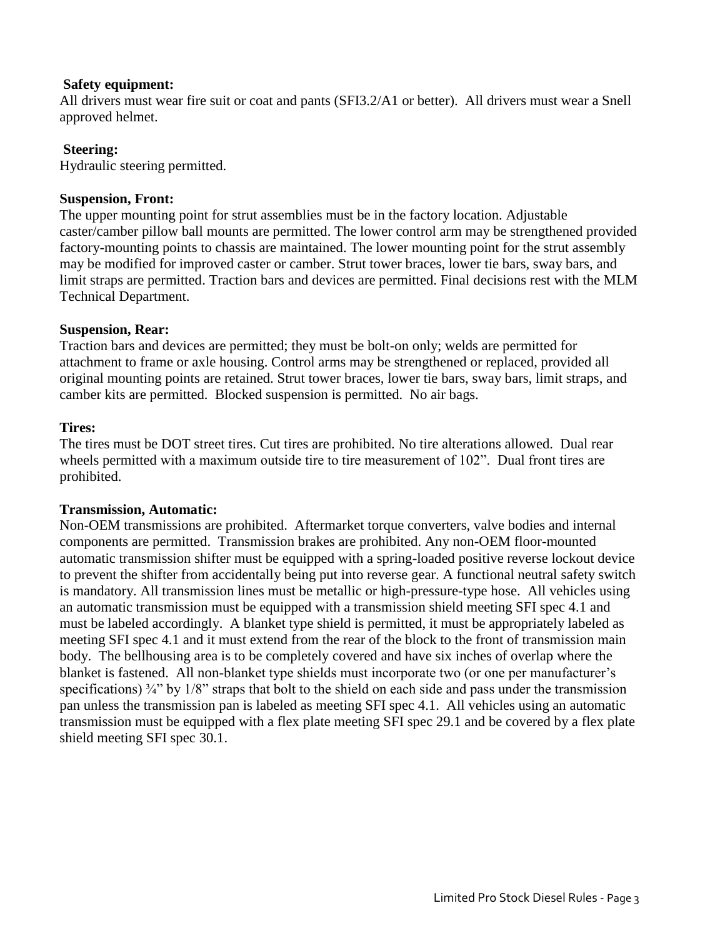#### **Safety equipment:**

All drivers must wear fire suit or coat and pants (SFI3.2/A1 or better). All drivers must wear a Snell approved helmet.

# **Steering:**

Hydraulic steering permitted.

# **Suspension, Front:**

The upper mounting point for strut assemblies must be in the factory location. Adjustable caster/camber pillow ball mounts are permitted. The lower control arm may be strengthened provided factory-mounting points to chassis are maintained. The lower mounting point for the strut assembly may be modified for improved caster or camber. Strut tower braces, lower tie bars, sway bars, and limit straps are permitted. Traction bars and devices are permitted. Final decisions rest with the MLM Technical Department.

# **Suspension, Rear:**

Traction bars and devices are permitted; they must be bolt-on only; welds are permitted for attachment to frame or axle housing. Control arms may be strengthened or replaced, provided all original mounting points are retained. Strut tower braces, lower tie bars, sway bars, limit straps, and camber kits are permitted. Blocked suspension is permitted. No air bags.

# **Tires:**

The tires must be DOT street tires. Cut tires are prohibited. No tire alterations allowed. Dual rear wheels permitted with a maximum outside tire to tire measurement of 102". Dual front tires are prohibited.

#### **Transmission, Automatic:**

Non-OEM transmissions are prohibited. Aftermarket torque converters, valve bodies and internal components are permitted. Transmission brakes are prohibited. Any non-OEM floor-mounted automatic transmission shifter must be equipped with a spring-loaded positive reverse lockout device to prevent the shifter from accidentally being put into reverse gear. A functional neutral safety switch is mandatory. All transmission lines must be metallic or high-pressure-type hose. All vehicles using an automatic transmission must be equipped with a transmission shield meeting SFI spec 4.1 and must be labeled accordingly. A blanket type shield is permitted, it must be appropriately labeled as meeting SFI spec 4.1 and it must extend from the rear of the block to the front of transmission main body. The bellhousing area is to be completely covered and have six inches of overlap where the blanket is fastened. All non-blanket type shields must incorporate two (or one per manufacturer's specifications)  $\frac{3}{4}$  by 1/8" straps that bolt to the shield on each side and pass under the transmission pan unless the transmission pan is labeled as meeting SFI spec 4.1. All vehicles using an automatic transmission must be equipped with a flex plate meeting SFI spec 29.1 and be covered by a flex plate shield meeting SFI spec 30.1.